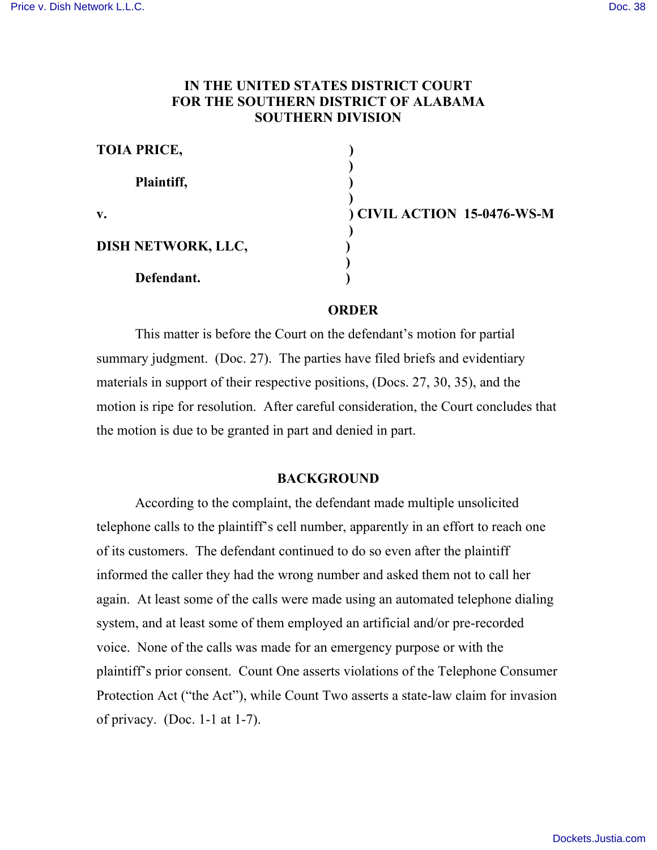# **IN THE UNITED STATES DISTRICT COURT FOR THE SOUTHERN DISTRICT OF ALABAMA SOUTHERN DIVISION**

| <b>TOIA PRICE,</b> |               |
|--------------------|---------------|
| Plaintiff,         |               |
|                    |               |
| $\mathbf{v}$ .     | ) CIVIL ACTIO |
| DISH NETWORK, LLC, |               |
| Defendant.         |               |

**DN** 15-0476-WS-M

#### **ORDER**

This matter is before the Court on the defendant's motion for partial summary judgment. (Doc. 27). The parties have filed briefs and evidentiary materials in support of their respective positions, (Docs. 27, 30, 35), and the motion is ripe for resolution. After careful consideration, the Court concludes that the motion is due to be granted in part and denied in part.

### **BACKGROUND**

According to the complaint, the defendant made multiple unsolicited telephone calls to the plaintiff's cell number, apparently in an effort to reach one of its customers. The defendant continued to do so even after the plaintiff informed the caller they had the wrong number and asked them not to call her again. At least some of the calls were made using an automated telephone dialing system, and at least some of them employed an artificial and/or pre-recorded voice. None of the calls was made for an emergency purpose or with the plaintiff's prior consent. Count One asserts violations of the Telephone Consumer Protection Act ("the Act"), while Count Two asserts a state-law claim for invasion of privacy. (Doc.  $1-1$  at  $1-7$ ).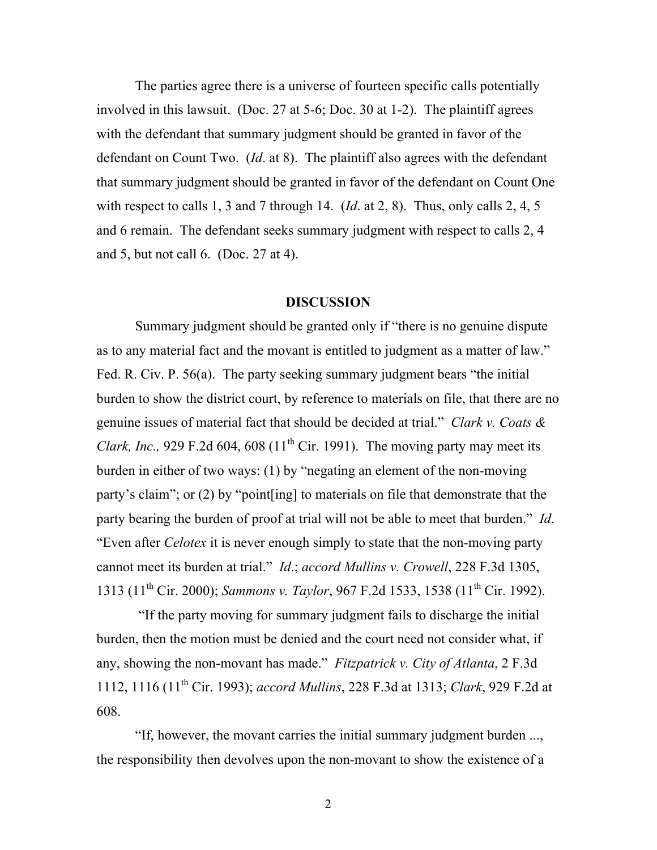The parties agree there is a universe of fourteen specific calls potentially involved in this lawsuit. (Doc. 27 at 5-6; Doc. 30 at 1-2). The plaintiff agrees with the defendant that summary judgment should be granted in favor of the defendant on Count Two. (*Id*. at 8). The plaintiff also agrees with the defendant that summary judgment should be granted in favor of the defendant on Count One with respect to calls 1, 3 and 7 through 14. (*Id*. at 2, 8). Thus, only calls 2, 4, 5 and 6 remain. The defendant seeks summary judgment with respect to calls 2, 4 and 5, but not call 6. (Doc. 27 at 4).

#### **DISCUSSION**

Summary judgment should be granted only if "there is no genuine dispute as to any material fact and the movant is entitled to judgment as a matter of law." Fed. R. Civ. P. 56(a). The party seeking summary judgment bears "the initial burden to show the district court, by reference to materials on file, that there are no genuine issues of material fact that should be decided at trial." *Clark v. Coats & Clark, Inc.*, 929 F.2d 604, 608 (11<sup>th</sup> Cir. 1991). The moving party may meet its burden in either of two ways: (1) by "negating an element of the non-moving party's claim"; or (2) by "point[ing] to materials on file that demonstrate that the party bearing the burden of proof at trial will not be able to meet that burden." *Id*. "Even after *Celotex* it is never enough simply to state that the non-moving party cannot meet its burden at trial." *Id*.; *accord Mullins v. Crowell*, 228 F.3d 1305, 1313 (11th Cir. 2000); *Sammons v. Taylor*, 967 F.2d 1533, 1538 (11th Cir. 1992).

"If the party moving for summary judgment fails to discharge the initial burden, then the motion must be denied and the court need not consider what, if any, showing the non-movant has made." *Fitzpatrick v. City of Atlanta*, 2 F.3d 1112, 1116 (11th Cir. 1993); *accord Mullins*, 228 F.3d at 1313; *Clark*, 929 F.2d at 608.

"If, however, the movant carries the initial summary judgment burden ..., the responsibility then devolves upon the non-movant to show the existence of a

2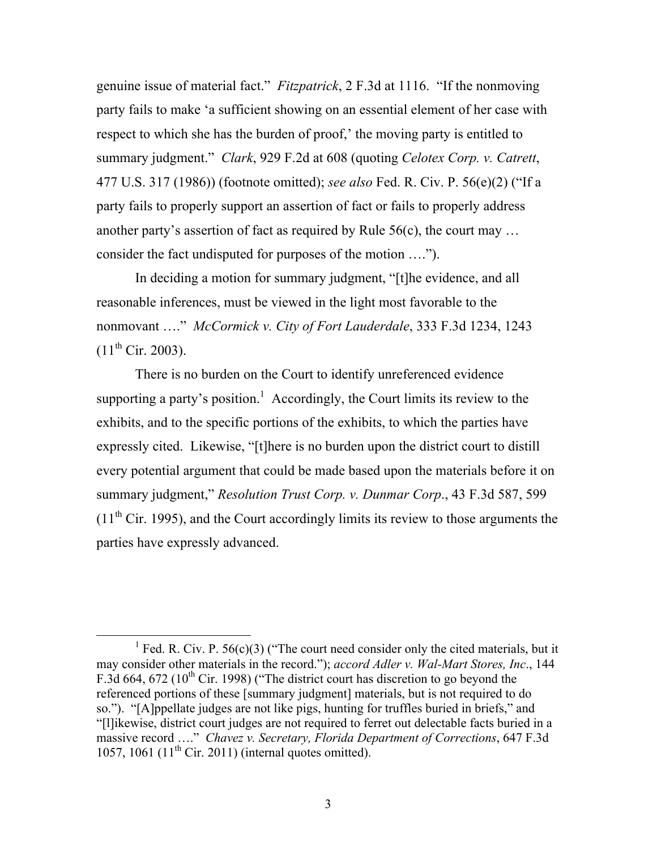genuine issue of material fact." *Fitzpatrick*, 2 F.3d at 1116. "If the nonmoving party fails to make 'a sufficient showing on an essential element of her case with respect to which she has the burden of proof,' the moving party is entitled to summary judgment." *Clark*, 929 F.2d at 608 (quoting *Celotex Corp. v. Catrett*, 477 U.S. 317 (1986)) (footnote omitted); *see also* Fed. R. Civ. P. 56(e)(2) ("If a party fails to properly support an assertion of fact or fails to properly address another party's assertion of fact as required by Rule 56(c), the court may … consider the fact undisputed for purposes of the motion ….").

In deciding a motion for summary judgment, "[t]he evidence, and all reasonable inferences, must be viewed in the light most favorable to the nonmovant …." *McCormick v. City of Fort Lauderdale*, 333 F.3d 1234, 1243  $(11^{th}$  Cir. 2003).

There is no burden on the Court to identify unreferenced evidence supporting a party's position.<sup>1</sup> Accordingly, the Court limits its review to the exhibits, and to the specific portions of the exhibits, to which the parties have expressly cited. Likewise, "[t]here is no burden upon the district court to distill every potential argument that could be made based upon the materials before it on summary judgment," *Resolution Trust Corp. v. Dunmar Corp*., 43 F.3d 587, 599  $(11<sup>th</sup> Cir. 1995)$ , and the Court accordingly limits its review to those arguments the parties have expressly advanced.

<sup>&</sup>lt;sup>1</sup> Fed. R. Civ. P. 56(c)(3) ("The court need consider only the cited materials, but it may consider other materials in the record."); *accord Adler v. Wal-Mart Stores, Inc*., 144 F.3d 664, 672 ( $10^{th}$  Cir. 1998) ("The district court has discretion to go beyond the referenced portions of these [summary judgment] materials, but is not required to do so."). "[A]ppellate judges are not like pigs, hunting for truffles buried in briefs," and "[l]ikewise, district court judges are not required to ferret out delectable facts buried in a massive record …." *Chavez v. Secretary, Florida Department of Corrections*, 647 F.3d 1057, 1061  $(11<sup>th</sup>$  Cir. 2011) (internal quotes omitted).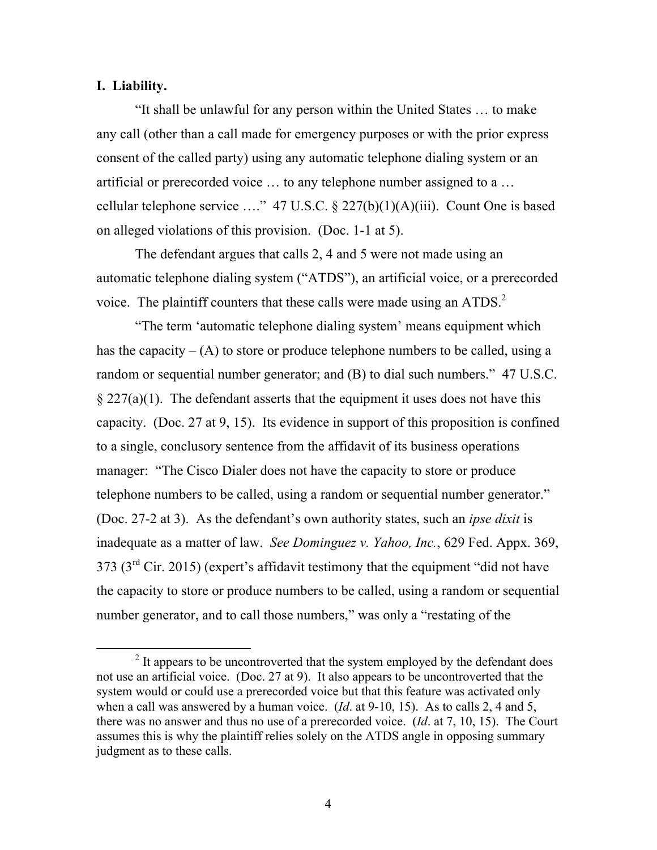### **I. Liability.**

"It shall be unlawful for any person within the United States … to make any call (other than a call made for emergency purposes or with the prior express consent of the called party) using any automatic telephone dialing system or an artificial or prerecorded voice … to any telephone number assigned to a … cellular telephone service ...." 47 U.S.C.  $\S 227(b)(1)(A)(iii)$ . Count One is based on alleged violations of this provision. (Doc. 1-1 at 5).

The defendant argues that calls 2, 4 and 5 were not made using an automatic telephone dialing system ("ATDS"), an artificial voice, or a prerecorded voice. The plaintiff counters that these calls were made using an ATDS.<sup>2</sup>

"The term 'automatic telephone dialing system' means equipment which has the capacity  $-(A)$  to store or produce telephone numbers to be called, using a random or sequential number generator; and (B) to dial such numbers." 47 U.S.C.  $§$  227(a)(1). The defendant asserts that the equipment it uses does not have this capacity. (Doc. 27 at 9, 15). Its evidence in support of this proposition is confined to a single, conclusory sentence from the affidavit of its business operations manager: "The Cisco Dialer does not have the capacity to store or produce telephone numbers to be called, using a random or sequential number generator." (Doc. 27-2 at 3). As the defendant's own authority states, such an *ipse dixit* is inadequate as a matter of law. *See Dominguez v. Yahoo, Inc.*, 629 Fed. Appx. 369,  $373$  ( $3<sup>rd</sup>$  Cir. 2015) (expert's affidavit testimony that the equipment "did not have the capacity to store or produce numbers to be called, using a random or sequential number generator, and to call those numbers," was only a "restating of the

 $2$  It appears to be uncontroverted that the system employed by the defendant does not use an artificial voice. (Doc. 27 at 9). It also appears to be uncontroverted that the system would or could use a prerecorded voice but that this feature was activated only when a call was answered by a human voice. (*Id*. at 9-10, 15). As to calls 2, 4 and 5, there was no answer and thus no use of a prerecorded voice. (*Id*. at 7, 10, 15). The Court assumes this is why the plaintiff relies solely on the ATDS angle in opposing summary judgment as to these calls.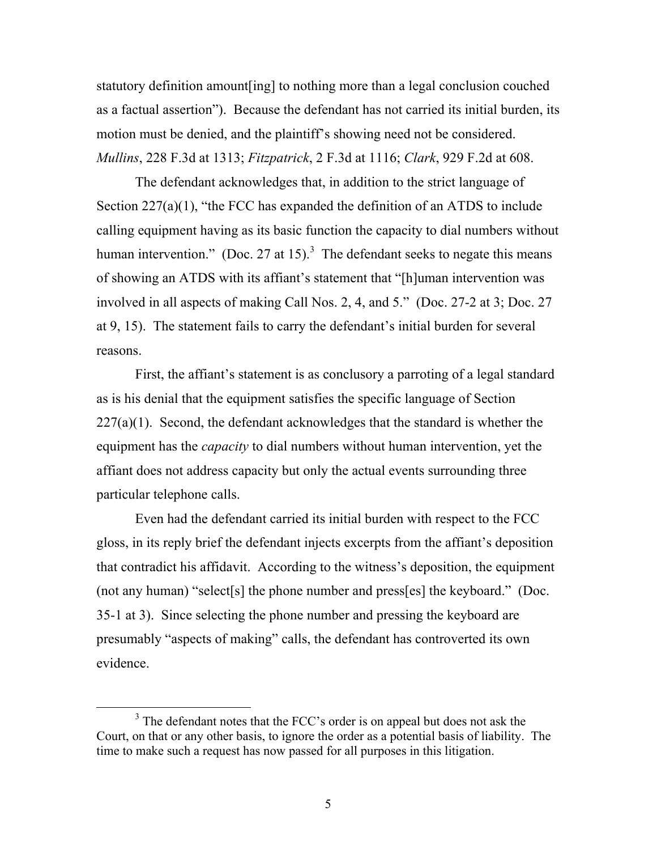statutory definition amount[ing] to nothing more than a legal conclusion couched as a factual assertion"). Because the defendant has not carried its initial burden, its motion must be denied, and the plaintiff's showing need not be considered. *Mullins*, 228 F.3d at 1313; *Fitzpatrick*, 2 F.3d at 1116; *Clark*, 929 F.2d at 608.

The defendant acknowledges that, in addition to the strict language of Section 227(a)(1), "the FCC has expanded the definition of an ATDS to include calling equipment having as its basic function the capacity to dial numbers without human intervention." (Doc. 27 at 15).<sup>3</sup> The defendant seeks to negate this means of showing an ATDS with its affiant's statement that "[h]uman intervention was involved in all aspects of making Call Nos. 2, 4, and 5." (Doc. 27-2 at 3; Doc. 27 at 9, 15). The statement fails to carry the defendant's initial burden for several reasons.

First, the affiant's statement is as conclusory a parroting of a legal standard as is his denial that the equipment satisfies the specific language of Section  $227(a)(1)$ . Second, the defendant acknowledges that the standard is whether the equipment has the *capacity* to dial numbers without human intervention, yet the affiant does not address capacity but only the actual events surrounding three particular telephone calls.

Even had the defendant carried its initial burden with respect to the FCC gloss, in its reply brief the defendant injects excerpts from the affiant's deposition that contradict his affidavit. According to the witness's deposition, the equipment (not any human) "select[s] the phone number and press[es] the keyboard." (Doc. 35-1 at 3). Since selecting the phone number and pressing the keyboard are presumably "aspects of making" calls, the defendant has controverted its own evidence.

<sup>&</sup>lt;sup>3</sup> The defendant notes that the FCC's order is on appeal but does not ask the Court, on that or any other basis, to ignore the order as a potential basis of liability. The time to make such a request has now passed for all purposes in this litigation.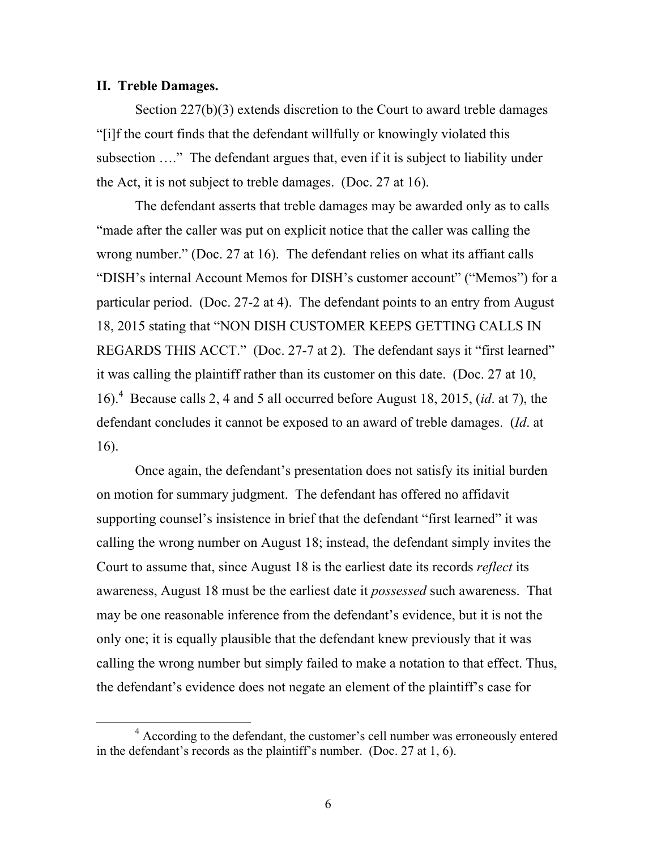#### **II. Treble Damages.**

Section 227(b)(3) extends discretion to the Court to award treble damages "[i]f the court finds that the defendant willfully or knowingly violated this subsection …." The defendant argues that, even if it is subject to liability under the Act, it is not subject to treble damages. (Doc. 27 at 16).

The defendant asserts that treble damages may be awarded only as to calls "made after the caller was put on explicit notice that the caller was calling the wrong number." (Doc. 27 at 16). The defendant relies on what its affiant calls "DISH's internal Account Memos for DISH's customer account" ("Memos") for a particular period. (Doc. 27-2 at 4). The defendant points to an entry from August 18, 2015 stating that "NON DISH CUSTOMER KEEPS GETTING CALLS IN REGARDS THIS ACCT." (Doc. 27-7 at 2). The defendant says it "first learned" it was calling the plaintiff rather than its customer on this date. (Doc. 27 at 10, 16).<sup>4</sup> Because calls 2, 4 and 5 all occurred before August 18, 2015, (*id*. at 7), the defendant concludes it cannot be exposed to an award of treble damages. (*Id*. at 16).

Once again, the defendant's presentation does not satisfy its initial burden on motion for summary judgment. The defendant has offered no affidavit supporting counsel's insistence in brief that the defendant "first learned" it was calling the wrong number on August 18; instead, the defendant simply invites the Court to assume that, since August 18 is the earliest date its records *reflect* its awareness, August 18 must be the earliest date it *possessed* such awareness. That may be one reasonable inference from the defendant's evidence, but it is not the only one; it is equally plausible that the defendant knew previously that it was calling the wrong number but simply failed to make a notation to that effect. Thus, the defendant's evidence does not negate an element of the plaintiff's case for

<sup>&</sup>lt;sup>4</sup> According to the defendant, the customer's cell number was erroneously entered in the defendant's records as the plaintiff's number. (Doc. 27 at 1, 6).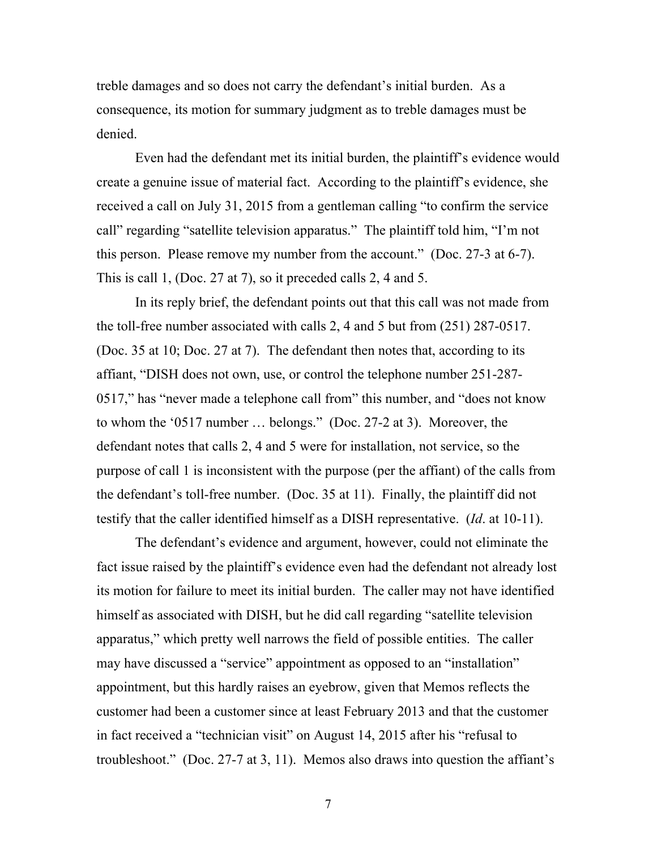treble damages and so does not carry the defendant's initial burden. As a consequence, its motion for summary judgment as to treble damages must be denied.

Even had the defendant met its initial burden, the plaintiff's evidence would create a genuine issue of material fact. According to the plaintiff's evidence, she received a call on July 31, 2015 from a gentleman calling "to confirm the service call" regarding "satellite television apparatus." The plaintiff told him, "I'm not this person. Please remove my number from the account." (Doc. 27-3 at 6-7). This is call 1, (Doc. 27 at 7), so it preceded calls 2, 4 and 5.

In its reply brief, the defendant points out that this call was not made from the toll-free number associated with calls 2, 4 and 5 but from (251) 287-0517. (Doc. 35 at 10; Doc. 27 at 7). The defendant then notes that, according to its affiant, "DISH does not own, use, or control the telephone number 251-287- 0517," has "never made a telephone call from" this number, and "does not know to whom the '0517 number … belongs." (Doc. 27-2 at 3). Moreover, the defendant notes that calls 2, 4 and 5 were for installation, not service, so the purpose of call 1 is inconsistent with the purpose (per the affiant) of the calls from the defendant's toll-free number. (Doc. 35 at 11). Finally, the plaintiff did not testify that the caller identified himself as a DISH representative. (*Id*. at 10-11).

The defendant's evidence and argument, however, could not eliminate the fact issue raised by the plaintiff's evidence even had the defendant not already lost its motion for failure to meet its initial burden. The caller may not have identified himself as associated with DISH, but he did call regarding "satellite television apparatus," which pretty well narrows the field of possible entities. The caller may have discussed a "service" appointment as opposed to an "installation" appointment, but this hardly raises an eyebrow, given that Memos reflects the customer had been a customer since at least February 2013 and that the customer in fact received a "technician visit" on August 14, 2015 after his "refusal to troubleshoot." (Doc. 27-7 at 3, 11). Memos also draws into question the affiant's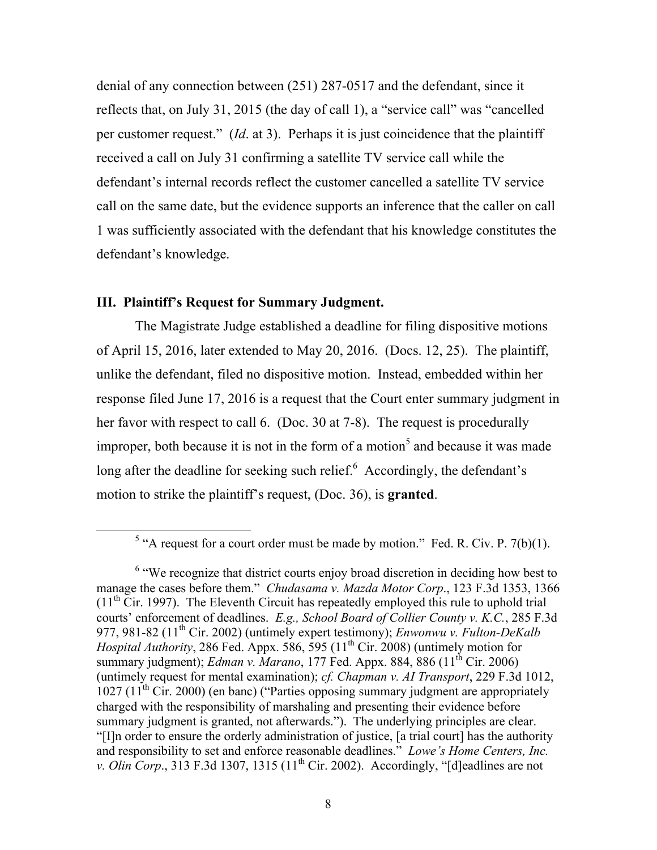denial of any connection between (251) 287-0517 and the defendant, since it reflects that, on July 31, 2015 (the day of call 1), a "service call" was "cancelled per customer request." (*Id*. at 3). Perhaps it is just coincidence that the plaintiff received a call on July 31 confirming a satellite TV service call while the defendant's internal records reflect the customer cancelled a satellite TV service call on the same date, but the evidence supports an inference that the caller on call 1 was sufficiently associated with the defendant that his knowledge constitutes the defendant's knowledge.

## **III. Plaintiff's Request for Summary Judgment.**

The Magistrate Judge established a deadline for filing dispositive motions of April 15, 2016, later extended to May 20, 2016. (Docs. 12, 25). The plaintiff, unlike the defendant, filed no dispositive motion. Instead, embedded within her response filed June 17, 2016 is a request that the Court enter summary judgment in her favor with respect to call 6. (Doc. 30 at 7-8). The request is procedurally improper, both because it is not in the form of a motion<sup>5</sup> and because it was made long after the deadline for seeking such relief. $6$  Accordingly, the defendant's motion to strike the plaintiff's request, (Doc. 36), is **granted**.

<sup>&</sup>lt;sup>5</sup> "A request for a court order must be made by motion." Fed. R. Civ. P. 7(b)(1).

<sup>&</sup>lt;sup>6</sup> "We recognize that district courts enjoy broad discretion in deciding how best to manage the cases before them." *Chudasama v. Mazda Motor Corp*., 123 F.3d 1353, 1366  $(11<sup>th</sup> Cir. 1997)$ . The Eleventh Circuit has repeatedly employed this rule to uphold trial courts' enforcement of deadlines. *E.g., School Board of Collier County v. K.C.*, 285 F.3d 977, 981-82 (11th Cir. 2002) (untimely expert testimony); *Enwonwu v. Fulton-DeKalb Hospital Authority*, 286 Fed. Appx. 586, 595  $(11<sup>th</sup> Cir. 2008)$  (untimely motion for summary judgment); *Edman v. Marano*, 177 Fed. Appx. 884, 886 (11<sup>th</sup> Cir. 2006) (untimely request for mental examination); *cf. Chapman v. AI Transport*, 229 F.3d 1012,  $1027$  ( $11<sup>th</sup>$  Cir. 2000) (en banc) ("Parties opposing summary judgment are appropriately charged with the responsibility of marshaling and presenting their evidence before summary judgment is granted, not afterwards."). The underlying principles are clear. "[I]n order to ensure the orderly administration of justice, [a trial court] has the authority and responsibility to set and enforce reasonable deadlines." *Lowe's Home Centers, Inc. v. Olin Corp.*, 313 F.3d 1307, 1315 ( $11<sup>th</sup>$  Cir. 2002). Accordingly, "[d]eadlines are not